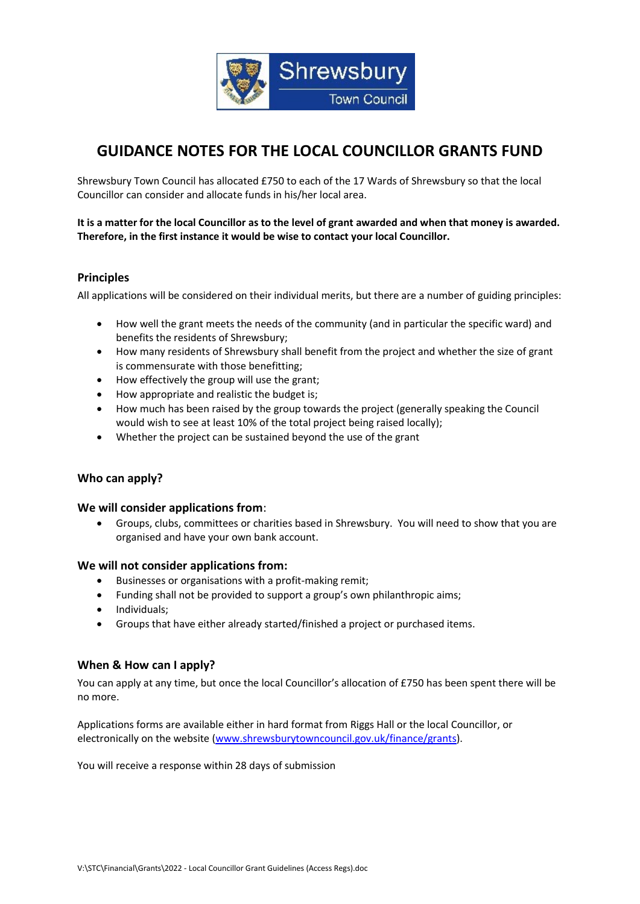

# **GUIDANCE NOTES FOR THE LOCAL COUNCILLOR GRANTS FUND**

Shrewsbury Town Council has allocated £750 to each of the 17 Wards of Shrewsbury so that the local Councillor can consider and allocate funds in his/her local area.

**It is a matter for the local Councillor as to the level of grant awarded and when that money is awarded. Therefore, in the first instance it would be wise to contact your local Councillor.**

### **Principles**

All applications will be considered on their individual merits, but there are a number of guiding principles:

- How well the grant meets the needs of the community (and in particular the specific ward) and benefits the residents of Shrewsbury;
- How many residents of Shrewsbury shall benefit from the project and whether the size of grant is commensurate with those benefitting;
- How effectively the group will use the grant;
- How appropriate and realistic the budget is;
- How much has been raised by the group towards the project (generally speaking the Council would wish to see at least 10% of the total project being raised locally);
- Whether the project can be sustained beyond the use of the grant

#### **Who can apply?**

#### **We will consider applications from**:

• Groups, clubs, committees or charities based in Shrewsbury. You will need to show that you are organised and have your own bank account.

#### **We will not consider applications from:**

- Businesses or organisations with a profit-making remit;
- Funding shall not be provided to support a group's own philanthropic aims;
- Individuals;
- Groups that have either already started/finished a project or purchased items.

#### **When & How can I apply?**

You can apply at any time, but once the local Councillor's allocation of £750 has been spent there will be no more.

Applications forms are available either in hard format from Riggs Hall or the local Councillor, or electronically on the website [\(www.shrewsburytowncouncil.gov.uk/finance/grants\)](http://www.shrewsburytowncouncil.gov.uk/finance/grants).

You will receive a response within 28 days of submission